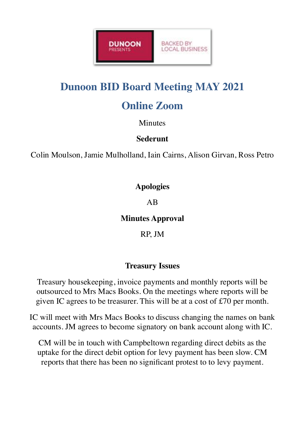

# **Dunoon BID Board Meeting MAY 2021**

# **Online Zoom**

Minutes

#### **Sederunt**

Colin Moulson, Jamie Mulholland, Iain Cairns, Alison Girvan, Ross Petro

### **Apologies**

### AB

# **Minutes Approval**

RP, JM

# **Treasury Issues**

Treasury housekeeping, invoice payments and monthly reports will be outsourced to Mrs Macs Books. On the meetings where reports will be given IC agrees to be treasurer. This will be at a cost of £70 per month.

IC will meet with Mrs Macs Books to discuss changing the names on bank accounts. JM agrees to become signatory on bank account along with IC.

CM will be in touch with Campbeltown regarding direct debits as the uptake for the direct debit option for levy payment has been slow. CM reports that there has been no significant protest to to levy payment.